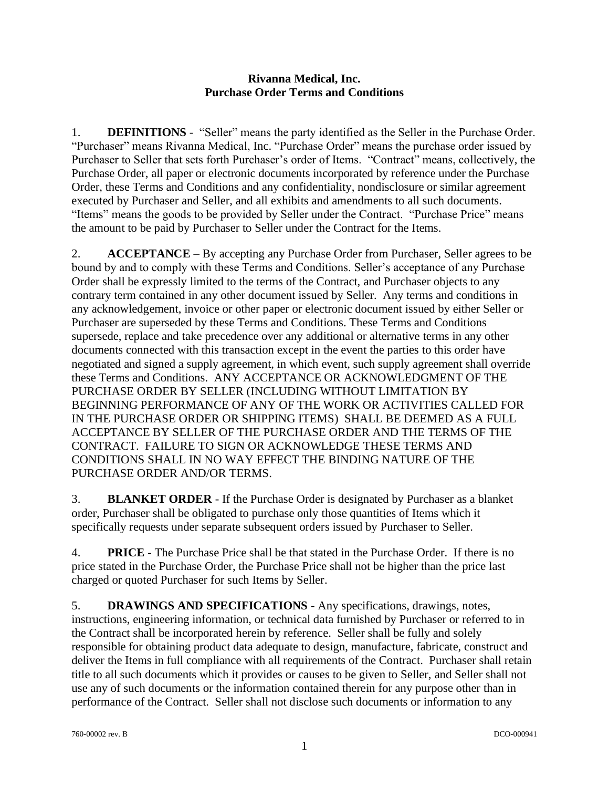## **Rivanna Medical, Inc. Purchase Order Terms and Conditions**

1. **DEFINITIONS** - "Seller" means the party identified as the Seller in the Purchase Order. "Purchaser" means Rivanna Medical, Inc. "Purchase Order" means the purchase order issued by Purchaser to Seller that sets forth Purchaser's order of Items. "Contract" means, collectively, the Purchase Order, all paper or electronic documents incorporated by reference under the Purchase Order, these Terms and Conditions and any confidentiality, nondisclosure or similar agreement executed by Purchaser and Seller, and all exhibits and amendments to all such documents. "Items" means the goods to be provided by Seller under the Contract. "Purchase Price" means the amount to be paid by Purchaser to Seller under the Contract for the Items.

2. **ACCEPTANCE** – By accepting any Purchase Order from Purchaser, Seller agrees to be bound by and to comply with these Terms and Conditions. Seller's acceptance of any Purchase Order shall be expressly limited to the terms of the Contract, and Purchaser objects to any contrary term contained in any other document issued by Seller. Any terms and conditions in any acknowledgement, invoice or other paper or electronic document issued by either Seller or Purchaser are superseded by these Terms and Conditions. These Terms and Conditions supersede, replace and take precedence over any additional or alternative terms in any other documents connected with this transaction except in the event the parties to this order have negotiated and signed a supply agreement, in which event, such supply agreement shall override these Terms and Conditions. ANY ACCEPTANCE OR ACKNOWLEDGMENT OF THE PURCHASE ORDER BY SELLER (INCLUDING WITHOUT LIMITATION BY BEGINNING PERFORMANCE OF ANY OF THE WORK OR ACTIVITIES CALLED FOR IN THE PURCHASE ORDER OR SHIPPING ITEMS) SHALL BE DEEMED AS A FULL ACCEPTANCE BY SELLER OF THE PURCHASE ORDER AND THE TERMS OF THE CONTRACT. FAILURE TO SIGN OR ACKNOWLEDGE THESE TERMS AND CONDITIONS SHALL IN NO WAY EFFECT THE BINDING NATURE OF THE PURCHASE ORDER AND/OR TERMS.

3. **BLANKET ORDER** - If the Purchase Order is designated by Purchaser as a blanket order, Purchaser shall be obligated to purchase only those quantities of Items which it specifically requests under separate subsequent orders issued by Purchaser to Seller.

4. **PRICE** - The Purchase Price shall be that stated in the Purchase Order. If there is no price stated in the Purchase Order, the Purchase Price shall not be higher than the price last charged or quoted Purchaser for such Items by Seller.

5. **DRAWINGS AND SPECIFICATIONS** - Any specifications, drawings, notes, instructions, engineering information, or technical data furnished by Purchaser or referred to in the Contract shall be incorporated herein by reference. Seller shall be fully and solely responsible for obtaining product data adequate to design, manufacture, fabricate, construct and deliver the Items in full compliance with all requirements of the Contract. Purchaser shall retain title to all such documents which it provides or causes to be given to Seller, and Seller shall not use any of such documents or the information contained therein for any purpose other than in performance of the Contract. Seller shall not disclose such documents or information to any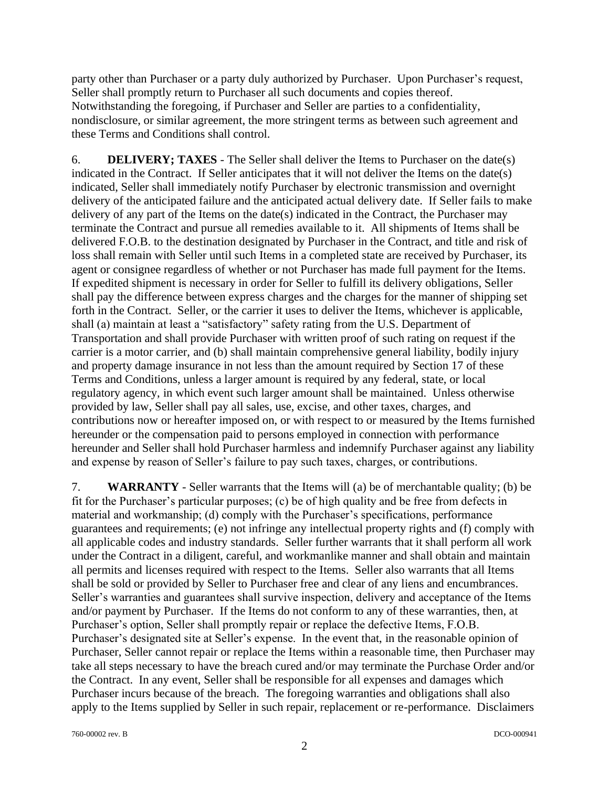party other than Purchaser or a party duly authorized by Purchaser. Upon Purchaser's request, Seller shall promptly return to Purchaser all such documents and copies thereof. Notwithstanding the foregoing, if Purchaser and Seller are parties to a confidentiality, nondisclosure, or similar agreement, the more stringent terms as between such agreement and these Terms and Conditions shall control.

6. **DELIVERY; TAXES** - The Seller shall deliver the Items to Purchaser on the date(s) indicated in the Contract. If Seller anticipates that it will not deliver the Items on the date(s) indicated, Seller shall immediately notify Purchaser by electronic transmission and overnight delivery of the anticipated failure and the anticipated actual delivery date. If Seller fails to make delivery of any part of the Items on the date(s) indicated in the Contract, the Purchaser may terminate the Contract and pursue all remedies available to it. All shipments of Items shall be delivered F.O.B. to the destination designated by Purchaser in the Contract, and title and risk of loss shall remain with Seller until such Items in a completed state are received by Purchaser, its agent or consignee regardless of whether or not Purchaser has made full payment for the Items. If expedited shipment is necessary in order for Seller to fulfill its delivery obligations, Seller shall pay the difference between express charges and the charges for the manner of shipping set forth in the Contract. Seller, or the carrier it uses to deliver the Items, whichever is applicable, shall (a) maintain at least a "satisfactory" safety rating from the U.S. Department of Transportation and shall provide Purchaser with written proof of such rating on request if the carrier is a motor carrier, and (b) shall maintain comprehensive general liability, bodily injury and property damage insurance in not less than the amount required by Section 17 of these Terms and Conditions, unless a larger amount is required by any federal, state, or local regulatory agency, in which event such larger amount shall be maintained. Unless otherwise provided by law, Seller shall pay all sales, use, excise, and other taxes, charges, and contributions now or hereafter imposed on, or with respect to or measured by the Items furnished hereunder or the compensation paid to persons employed in connection with performance hereunder and Seller shall hold Purchaser harmless and indemnify Purchaser against any liability and expense by reason of Seller's failure to pay such taxes, charges, or contributions.

7. **WARRANTY** - Seller warrants that the Items will (a) be of merchantable quality; (b) be fit for the Purchaser's particular purposes; (c) be of high quality and be free from defects in material and workmanship; (d) comply with the Purchaser's specifications, performance guarantees and requirements; (e) not infringe any intellectual property rights and (f) comply with all applicable codes and industry standards. Seller further warrants that it shall perform all work under the Contract in a diligent, careful, and workmanlike manner and shall obtain and maintain all permits and licenses required with respect to the Items. Seller also warrants that all Items shall be sold or provided by Seller to Purchaser free and clear of any liens and encumbrances. Seller's warranties and guarantees shall survive inspection, delivery and acceptance of the Items and/or payment by Purchaser. If the Items do not conform to any of these warranties, then, at Purchaser's option, Seller shall promptly repair or replace the defective Items, F.O.B. Purchaser's designated site at Seller's expense. In the event that, in the reasonable opinion of Purchaser, Seller cannot repair or replace the Items within a reasonable time, then Purchaser may take all steps necessary to have the breach cured and/or may terminate the Purchase Order and/or the Contract. In any event, Seller shall be responsible for all expenses and damages which Purchaser incurs because of the breach. The foregoing warranties and obligations shall also apply to the Items supplied by Seller in such repair, replacement or re-performance. Disclaimers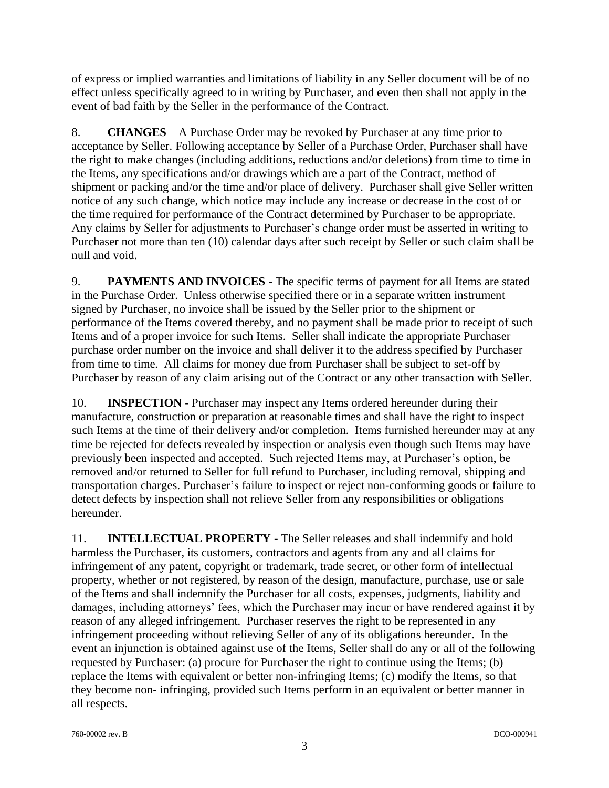of express or implied warranties and limitations of liability in any Seller document will be of no effect unless specifically agreed to in writing by Purchaser, and even then shall not apply in the event of bad faith by the Seller in the performance of the Contract.

8. **CHANGES** – A Purchase Order may be revoked by Purchaser at any time prior to acceptance by Seller. Following acceptance by Seller of a Purchase Order, Purchaser shall have the right to make changes (including additions, reductions and/or deletions) from time to time in the Items, any specifications and/or drawings which are a part of the Contract, method of shipment or packing and/or the time and/or place of delivery. Purchaser shall give Seller written notice of any such change, which notice may include any increase or decrease in the cost of or the time required for performance of the Contract determined by Purchaser to be appropriate. Any claims by Seller for adjustments to Purchaser's change order must be asserted in writing to Purchaser not more than ten (10) calendar days after such receipt by Seller or such claim shall be null and void.

9. **PAYMENTS AND INVOICES** - The specific terms of payment for all Items are stated in the Purchase Order. Unless otherwise specified there or in a separate written instrument signed by Purchaser, no invoice shall be issued by the Seller prior to the shipment or performance of the Items covered thereby, and no payment shall be made prior to receipt of such Items and of a proper invoice for such Items. Seller shall indicate the appropriate Purchaser purchase order number on the invoice and shall deliver it to the address specified by Purchaser from time to time. All claims for money due from Purchaser shall be subject to set-off by Purchaser by reason of any claim arising out of the Contract or any other transaction with Seller.

10. **INSPECTION** - Purchaser may inspect any Items ordered hereunder during their manufacture, construction or preparation at reasonable times and shall have the right to inspect such Items at the time of their delivery and/or completion. Items furnished hereunder may at any time be rejected for defects revealed by inspection or analysis even though such Items may have previously been inspected and accepted. Such rejected Items may, at Purchaser's option, be removed and/or returned to Seller for full refund to Purchaser, including removal, shipping and transportation charges. Purchaser's failure to inspect or reject non-conforming goods or failure to detect defects by inspection shall not relieve Seller from any responsibilities or obligations hereunder.

11. **INTELLECTUAL PROPERTY** - The Seller releases and shall indemnify and hold harmless the Purchaser, its customers, contractors and agents from any and all claims for infringement of any patent, copyright or trademark, trade secret, or other form of intellectual property, whether or not registered, by reason of the design, manufacture, purchase, use or sale of the Items and shall indemnify the Purchaser for all costs, expenses, judgments, liability and damages, including attorneys' fees, which the Purchaser may incur or have rendered against it by reason of any alleged infringement. Purchaser reserves the right to be represented in any infringement proceeding without relieving Seller of any of its obligations hereunder. In the event an injunction is obtained against use of the Items, Seller shall do any or all of the following requested by Purchaser: (a) procure for Purchaser the right to continue using the Items; (b) replace the Items with equivalent or better non-infringing Items; (c) modify the Items, so that they become non- infringing, provided such Items perform in an equivalent or better manner in all respects.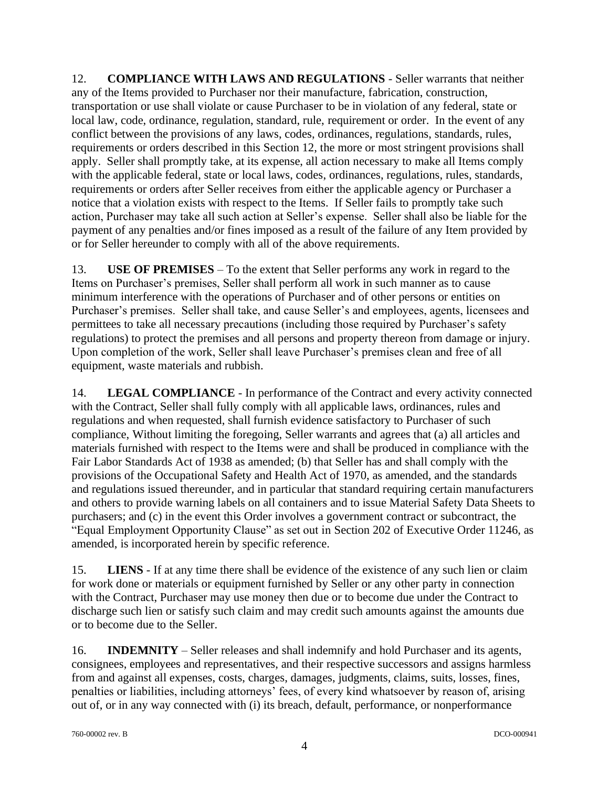12. **COMPLIANCE WITH LAWS AND REGULATIONS** - Seller warrants that neither any of the Items provided to Purchaser nor their manufacture, fabrication, construction, transportation or use shall violate or cause Purchaser to be in violation of any federal, state or local law, code, ordinance, regulation, standard, rule, requirement or order. In the event of any conflict between the provisions of any laws, codes, ordinances, regulations, standards, rules, requirements or orders described in this Section 12, the more or most stringent provisions shall apply. Seller shall promptly take, at its expense, all action necessary to make all Items comply with the applicable federal, state or local laws, codes, ordinances, regulations, rules, standards, requirements or orders after Seller receives from either the applicable agency or Purchaser a notice that a violation exists with respect to the Items. If Seller fails to promptly take such action, Purchaser may take all such action at Seller's expense. Seller shall also be liable for the payment of any penalties and/or fines imposed as a result of the failure of any Item provided by or for Seller hereunder to comply with all of the above requirements.

13. **USE OF PREMISES** – To the extent that Seller performs any work in regard to the Items on Purchaser's premises, Seller shall perform all work in such manner as to cause minimum interference with the operations of Purchaser and of other persons or entities on Purchaser's premises. Seller shall take, and cause Seller's and employees, agents, licensees and permittees to take all necessary precautions (including those required by Purchaser's safety regulations) to protect the premises and all persons and property thereon from damage or injury. Upon completion of the work, Seller shall leave Purchaser's premises clean and free of all equipment, waste materials and rubbish.

14. **LEGAL COMPLIANCE** - In performance of the Contract and every activity connected with the Contract, Seller shall fully comply with all applicable laws, ordinances, rules and regulations and when requested, shall furnish evidence satisfactory to Purchaser of such compliance, Without limiting the foregoing, Seller warrants and agrees that (a) all articles and materials furnished with respect to the Items were and shall be produced in compliance with the Fair Labor Standards Act of 1938 as amended; (b) that Seller has and shall comply with the provisions of the Occupational Safety and Health Act of 1970, as amended, and the standards and regulations issued thereunder, and in particular that standard requiring certain manufacturers and others to provide warning labels on all containers and to issue Material Safety Data Sheets to purchasers; and (c) in the event this Order involves a government contract or subcontract, the "Equal Employment Opportunity Clause" as set out in Section 202 of Executive Order 11246, as amended, is incorporated herein by specific reference.

15. **LIENS** - If at any time there shall be evidence of the existence of any such lien or claim for work done or materials or equipment furnished by Seller or any other party in connection with the Contract, Purchaser may use money then due or to become due under the Contract to discharge such lien or satisfy such claim and may credit such amounts against the amounts due or to become due to the Seller.

16. **INDEMNITY** – Seller releases and shall indemnify and hold Purchaser and its agents, consignees, employees and representatives, and their respective successors and assigns harmless from and against all expenses, costs, charges, damages, judgments, claims, suits, losses, fines, penalties or liabilities, including attorneys' fees, of every kind whatsoever by reason of, arising out of, or in any way connected with (i) its breach, default, performance, or nonperformance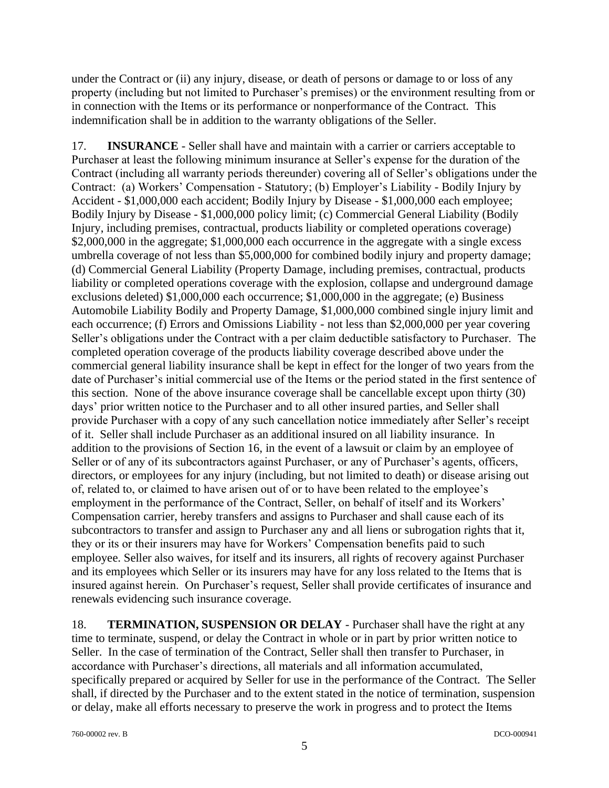under the Contract or (ii) any injury, disease, or death of persons or damage to or loss of any property (including but not limited to Purchaser's premises) or the environment resulting from or in connection with the Items or its performance or nonperformance of the Contract. This indemnification shall be in addition to the warranty obligations of the Seller.

17. **INSURANCE** - Seller shall have and maintain with a carrier or carriers acceptable to Purchaser at least the following minimum insurance at Seller's expense for the duration of the Contract (including all warranty periods thereunder) covering all of Seller's obligations under the Contract: (a) Workers' Compensation - Statutory; (b) Employer's Liability - Bodily Injury by Accident - \$1,000,000 each accident; Bodily Injury by Disease - \$1,000,000 each employee; Bodily Injury by Disease - \$1,000,000 policy limit; (c) Commercial General Liability (Bodily Injury, including premises, contractual, products liability or completed operations coverage) \$2,000,000 in the aggregate; \$1,000,000 each occurrence in the aggregate with a single excess umbrella coverage of not less than \$5,000,000 for combined bodily injury and property damage; (d) Commercial General Liability (Property Damage, including premises, contractual, products liability or completed operations coverage with the explosion, collapse and underground damage exclusions deleted) \$1,000,000 each occurrence; \$1,000,000 in the aggregate; (e) Business Automobile Liability Bodily and Property Damage, \$1,000,000 combined single injury limit and each occurrence; (f) Errors and Omissions Liability - not less than \$2,000,000 per year covering Seller's obligations under the Contract with a per claim deductible satisfactory to Purchaser. The completed operation coverage of the products liability coverage described above under the commercial general liability insurance shall be kept in effect for the longer of two years from the date of Purchaser's initial commercial use of the Items or the period stated in the first sentence of this section. None of the above insurance coverage shall be cancellable except upon thirty (30) days' prior written notice to the Purchaser and to all other insured parties, and Seller shall provide Purchaser with a copy of any such cancellation notice immediately after Seller's receipt of it. Seller shall include Purchaser as an additional insured on all liability insurance. In addition to the provisions of Section 16, in the event of a lawsuit or claim by an employee of Seller or of any of its subcontractors against Purchaser, or any of Purchaser's agents, officers, directors, or employees for any injury (including, but not limited to death) or disease arising out of, related to, or claimed to have arisen out of or to have been related to the employee's employment in the performance of the Contract, Seller, on behalf of itself and its Workers' Compensation carrier, hereby transfers and assigns to Purchaser and shall cause each of its subcontractors to transfer and assign to Purchaser any and all liens or subrogation rights that it, they or its or their insurers may have for Workers' Compensation benefits paid to such employee. Seller also waives, for itself and its insurers, all rights of recovery against Purchaser and its employees which Seller or its insurers may have for any loss related to the Items that is insured against herein. On Purchaser's request, Seller shall provide certificates of insurance and renewals evidencing such insurance coverage.

18. **TERMINATION, SUSPENSION OR DELAY** - Purchaser shall have the right at any time to terminate, suspend, or delay the Contract in whole or in part by prior written notice to Seller. In the case of termination of the Contract, Seller shall then transfer to Purchaser, in accordance with Purchaser's directions, all materials and all information accumulated, specifically prepared or acquired by Seller for use in the performance of the Contract. The Seller shall, if directed by the Purchaser and to the extent stated in the notice of termination, suspension or delay, make all efforts necessary to preserve the work in progress and to protect the Items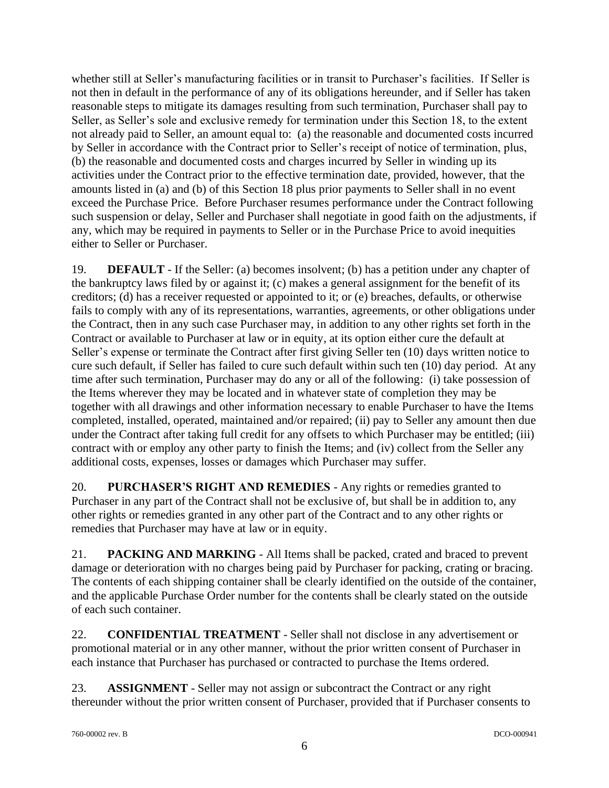whether still at Seller's manufacturing facilities or in transit to Purchaser's facilities. If Seller is not then in default in the performance of any of its obligations hereunder, and if Seller has taken reasonable steps to mitigate its damages resulting from such termination, Purchaser shall pay to Seller, as Seller's sole and exclusive remedy for termination under this Section 18, to the extent not already paid to Seller, an amount equal to: (a) the reasonable and documented costs incurred by Seller in accordance with the Contract prior to Seller's receipt of notice of termination, plus, (b) the reasonable and documented costs and charges incurred by Seller in winding up its activities under the Contract prior to the effective termination date, provided, however, that the amounts listed in (a) and (b) of this Section 18 plus prior payments to Seller shall in no event exceed the Purchase Price. Before Purchaser resumes performance under the Contract following such suspension or delay, Seller and Purchaser shall negotiate in good faith on the adjustments, if any, which may be required in payments to Seller or in the Purchase Price to avoid inequities either to Seller or Purchaser.

19. **DEFAULT** - If the Seller: (a) becomes insolvent; (b) has a petition under any chapter of the bankruptcy laws filed by or against it; (c) makes a general assignment for the benefit of its creditors; (d) has a receiver requested or appointed to it; or (e) breaches, defaults, or otherwise fails to comply with any of its representations, warranties, agreements, or other obligations under the Contract, then in any such case Purchaser may, in addition to any other rights set forth in the Contract or available to Purchaser at law or in equity, at its option either cure the default at Seller's expense or terminate the Contract after first giving Seller ten (10) days written notice to cure such default, if Seller has failed to cure such default within such ten (10) day period. At any time after such termination, Purchaser may do any or all of the following: (i) take possession of the Items wherever they may be located and in whatever state of completion they may be together with all drawings and other information necessary to enable Purchaser to have the Items completed, installed, operated, maintained and/or repaired; (ii) pay to Seller any amount then due under the Contract after taking full credit for any offsets to which Purchaser may be entitled; (iii) contract with or employ any other party to finish the Items; and (iv) collect from the Seller any additional costs, expenses, losses or damages which Purchaser may suffer.

20. **PURCHASER'S RIGHT AND REMEDIES** - Any rights or remedies granted to Purchaser in any part of the Contract shall not be exclusive of, but shall be in addition to, any other rights or remedies granted in any other part of the Contract and to any other rights or remedies that Purchaser may have at law or in equity.

21. **PACKING AND MARKING** - All Items shall be packed, crated and braced to prevent damage or deterioration with no charges being paid by Purchaser for packing, crating or bracing. The contents of each shipping container shall be clearly identified on the outside of the container, and the applicable Purchase Order number for the contents shall be clearly stated on the outside of each such container.

22. **CONFIDENTIAL TREATMENT** - Seller shall not disclose in any advertisement or promotional material or in any other manner, without the prior written consent of Purchaser in each instance that Purchaser has purchased or contracted to purchase the Items ordered.

23. **ASSIGNMENT** - Seller may not assign or subcontract the Contract or any right thereunder without the prior written consent of Purchaser, provided that if Purchaser consents to